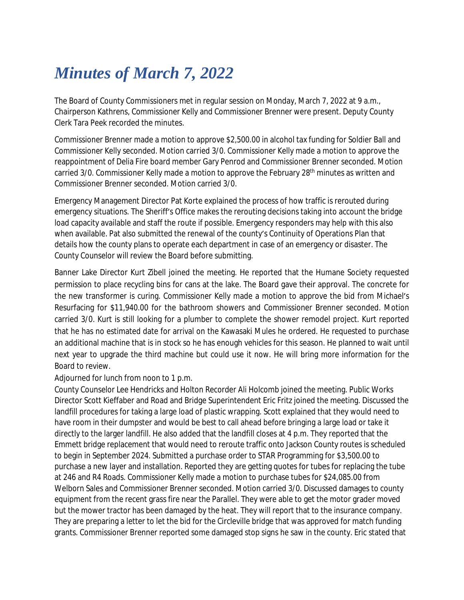## *Minutes of March 7, 2022*

The Board of County Commissioners met in regular session on Monday, March 7, 2022 at 9 a.m., Chairperson Kathrens, Commissioner Kelly and Commissioner Brenner were present. Deputy County Clerk Tara Peek recorded the minutes.

Commissioner Brenner made a motion to approve \$2,500.00 in alcohol tax funding for Soldier Ball and Commissioner Kelly seconded. Motion carried 3/0. Commissioner Kelly made a motion to approve the reappointment of Delia Fire board member Gary Penrod and Commissioner Brenner seconded. Motion carried 3/0. Commissioner Kelly made a motion to approve the February 28<sup>th</sup> minutes as written and Commissioner Brenner seconded. Motion carried 3/0.

Emergency Management Director Pat Korte explained the process of how traffic is rerouted during emergency situations. The Sheriff's Office makes the rerouting decisions taking into account the bridge load capacity available and staff the route if possible. Emergency responders may help with this also when available. Pat also submitted the renewal of the county's Continuity of Operations Plan that details how the county plans to operate each department in case of an emergency or disaster. The County Counselor will review the Board before submitting.

Banner Lake Director Kurt Zibell joined the meeting. He reported that the Humane Society requested permission to place recycling bins for cans at the lake. The Board gave their approval. The concrete for the new transformer is curing. Commissioner Kelly made a motion to approve the bid from Michael's Resurfacing for \$11,940.00 for the bathroom showers and Commissioner Brenner seconded. Motion carried 3/0. Kurt is still looking for a plumber to complete the shower remodel project. Kurt reported that he has no estimated date for arrival on the Kawasaki Mules he ordered. He requested to purchase an additional machine that is in stock so he has enough vehicles for this season. He planned to wait until next year to upgrade the third machine but could use it now. He will bring more information for the Board to review.

Adjourned for lunch from noon to 1 p.m.

County Counselor Lee Hendricks and Holton Recorder Ali Holcomb joined the meeting. Public Works Director Scott Kieffaber and Road and Bridge Superintendent Eric Fritz joined the meeting. Discussed the landfill procedures for taking a large load of plastic wrapping. Scott explained that they would need to have room in their dumpster and would be best to call ahead before bringing a large load or take it directly to the larger landfill. He also added that the landfill closes at 4 p.m. They reported that the Emmett bridge replacement that would need to reroute traffic onto Jackson County routes is scheduled to begin in September 2024. Submitted a purchase order to STAR Programming for \$3,500.00 to purchase a new layer and installation. Reported they are getting quotes for tubes for replacing the tube at 246 and R4 Roads. Commissioner Kelly made a motion to purchase tubes for \$24,085.00 from Welborn Sales and Commissioner Brenner seconded. Motion carried 3/0. Discussed damages to county equipment from the recent grass fire near the Parallel. They were able to get the motor grader moved but the mower tractor has been damaged by the heat. They will report that to the insurance company. They are preparing a letter to let the bid for the Circleville bridge that was approved for match funding grants. Commissioner Brenner reported some damaged stop signs he saw in the county. Eric stated that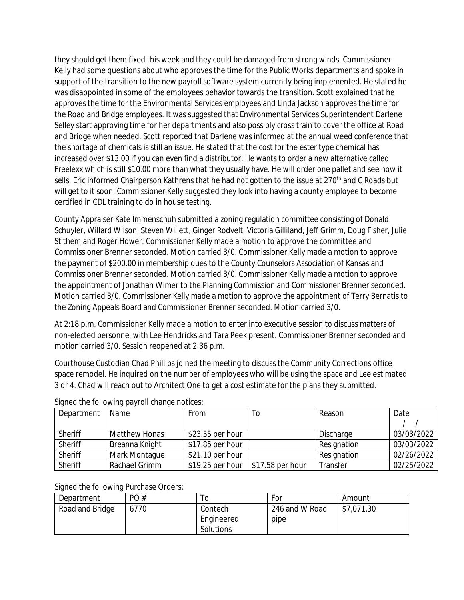they should get them fixed this week and they could be damaged from strong winds. Commissioner Kelly had some questions about who approves the time for the Public Works departments and spoke in support of the transition to the new payroll software system currently being implemented. He stated he was disappointed in some of the employees behavior towards the transition. Scott explained that he approves the time for the Environmental Services employees and Linda Jackson approves the time for the Road and Bridge employees. It was suggested that Environmental Services Superintendent Darlene Selley start approving time for her departments and also possibly cross train to cover the office at Road and Bridge when needed. Scott reported that Darlene was informed at the annual weed conference that the shortage of chemicals is still an issue. He stated that the cost for the ester type chemical has increased over \$13.00 if you can even find a distributor. He wants to order a new alternative called Freelexx which is still \$10.00 more than what they usually have. He will order one pallet and see how it sells. Eric informed Chairperson Kathrens that he had not gotten to the issue at 270<sup>th</sup> and C Roads but will get to it soon. Commissioner Kelly suggested they look into having a county employee to become certified in CDL training to do in house testing.

County Appraiser Kate Immenschuh submitted a zoning regulation committee consisting of Donald Schuyler, Willard Wilson, Steven Willett, Ginger Rodvelt, Victoria Gilliland, Jeff Grimm, Doug Fisher, Julie Stithem and Roger Hower. Commissioner Kelly made a motion to approve the committee and Commissioner Brenner seconded. Motion carried 3/0. Commissioner Kelly made a motion to approve the payment of \$200.00 in membership dues to the County Counselors Association of Kansas and Commissioner Brenner seconded. Motion carried 3/0. Commissioner Kelly made a motion to approve the appointment of Jonathan Wimer to the Planning Commission and Commissioner Brenner seconded. Motion carried 3/0. Commissioner Kelly made a motion to approve the appointment of Terry Bernatis to the Zoning Appeals Board and Commissioner Brenner seconded. Motion carried 3/0.

At 2:18 p.m. Commissioner Kelly made a motion to enter into executive session to discuss matters of non-elected personnel with Lee Hendricks and Tara Peek present. Commissioner Brenner seconded and motion carried 3/0. Session reopened at 2:36 p.m.

Courthouse Custodian Chad Phillips joined the meeting to discuss the Community Corrections office space remodel. He inquired on the number of employees who will be using the space and Lee estimated 3 or 4. Chad will reach out to Architect One to get a cost estimate for the plans they submitted.

| Department     | Name                 | From              | 10               | Reason      | Date       |
|----------------|----------------------|-------------------|------------------|-------------|------------|
|                |                      |                   |                  |             |            |
| Sheriff        | <b>Matthew Honas</b> | \$23.55 per hour  |                  | Discharge   | 03/03/2022 |
| Sheriff        | Breanna Knight       | $$17.85$ per hour |                  | Resignation | 03/03/2022 |
| <b>Sheriff</b> | Mark Montague        | $$21.10$ per hour |                  | Resignation | 02/26/2022 |
| <b>Sheriff</b> | Rachael Grimm        | $$19.25$ per hour | \$17.58 per hour | Transfer    | 02/25/2022 |

|  | Signed the following payroll change notices: |  |  |
|--|----------------------------------------------|--|--|
|  |                                              |  |  |

## Signed the following Purchase Orders:

| Department      | PO#  | l O        | For            | Amount     |
|-----------------|------|------------|----------------|------------|
| Road and Bridge | 6770 | Contech    | 246 and W Road | \$7,071.30 |
|                 |      | Engineered | pipe           |            |
|                 |      | Solutions  |                |            |